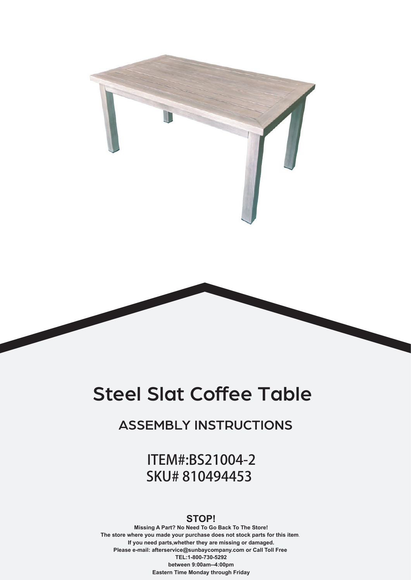

# Steel Slat Coffee Table

ASSEMBLY INSTRUCTIONS

ITEM#:BS21004-2 SKU# 810494453

#### **STOP!**

**Missing A Part? No Need To Go Back To The Store! The store where you made your purchase does not stock parts for this item**. **If you need parts,whether they are missing or damaged. Please e-mail: afterservice@sunbaycompany.com or Call Toll Free TEL:1-800-730-5292 between 9:00am--4:00pm Eastern Time Monday through Friday**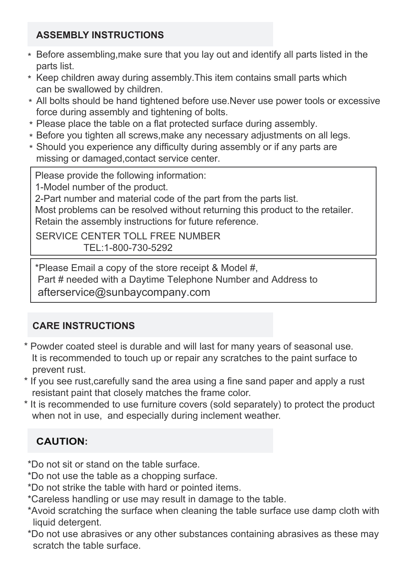### **ASSEMBLY INSTRUCTIONS**

- $\ast\,$  Before assembling,make sure that you lay out and identify all parts listed in the parts list.
- $\ast\,$  Keep children away during assembly.This item contains small parts which can be swallowed by children.
- All bolts should be hand tightened before use.Never use power tools or excessive \* force during assembly and tightening of bolts.
- Please place the table on a flat protected surface during assembly. \*
- $\ast$  Before you tighten all screws,make any necessary adjustments on all legs.
- Should you experience any difficulty during assembly or if any parts are \*missing or damaged,contact service center.

Please provide the following information:

1-Model number of the product.

2-Part number and material code of the part from the parts list.

Most problems can be resolved without returning this product to the retailer. Retain the assembly instructions for future reference.

SERVICE CENTER TOLL FREE NUMBER TEL:1-800-730-5292

\*Please Email a copy of the store receipt & Model #, Part # needed with a Daytime Telephone Number and Address to afterservice@sunbaycompany.com

## **CARE INSTRUCTIONS**

- \* Powder coated steel is durable and will last for many years of seasonal use. It is recommended to touch up or repair any scratches to the paint surface to prevent rust.
- \* If you see rust,carefully sand the area using a fine sand paper and apply a rust resistant paint that closely matches the frame color.
- \* It is recommended to use furniture covers (sold separately) to protect the product when not in use, and especially during inclement weather.

## **CAUTION:**

\*Do not sit or stand on the table surface.

- \*Do not use the table as a chopping surface.
- \*Do not strike the table with hard or pointed items.
- \*Careless handling or use may result in damage to the table.
- \*Avoid scratching the surface when cleaning the table surface use damp cloth with liquid detergent.
- \*Do not use abrasives or any other substances containing abrasives as these may scratch the table surface.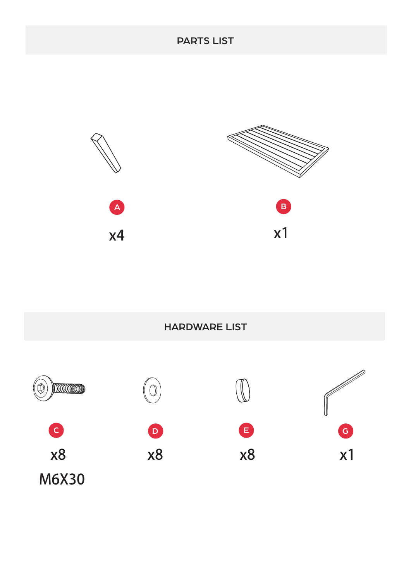